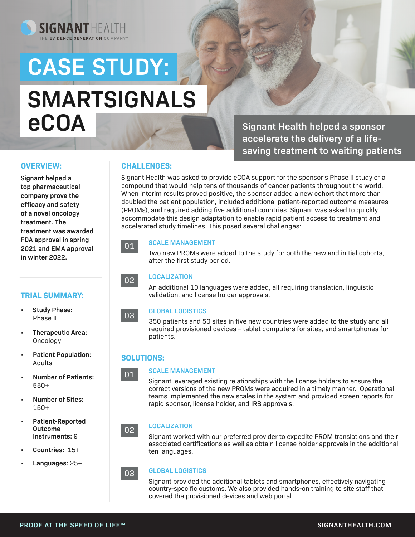# **CASE STUDY: SMARTSIGNALS eCOA**

SIGNANTHEALTH

**Signant Health helped a sponsor accelerate the delivery of a lifesaving treatment to waiting patients** 

#### **OVERVIEW:**

**Signant helped a top pharmaceutical company prove the efficacy and safety of a novel oncology treatment. The treatment was awarded FDA approval in spring 2021 and EMA approval in winter 2022.** 

#### **TRIAL SUMMARY:**



- **• Therapeutic Area:**  Oncology
- **• Patient Population:**  Adults
- **• Number of Patients:**  550+
- **• Number of Sites:**  150+
- **• Patient-Reported Outcome Instruments:** 9
- **• Countries:** 15+
- **• Languages:** 25+

### **CHALLENGES:**

Signant Health was asked to provide eCOA support for the sponsor's Phase II study of a compound that would help tens of thousands of cancer patients throughout the world. When interim results proved positive, the sponsor added a new cohort that more than doubled the patient population, included additional patient-reported outcome measures (PROMs), and required adding five additional countries. Signant was asked to quickly accommodate this design adaptation to enable rapid patient access to treatment and accelerated study timelines. This posed several challenges:

## 01

**SCALE MANAGEMENT** 

Two new PROMs were added to the study for both the new and initial cohorts, after the first study period.

#### **LOCALIZATION**

An additional 10 languages were added, all requiring translation, linguistic validation, and license holder approvals.

#### **GLOBAL LOGISTICS**

350 patients and 50 sites in five new countries were added to the study and all required provisioned devices – tablet computers for sites, and smartphones for patients.

#### **SOLUTIONS:**

01

03

02

03

02

#### **SCALE MANAGEMENT**

Signant leveraged existing relationships with the license holders to ensure the correct versions of the new PROMs were acquired in a timely manner. Operational teams implemented the new scales in the system and provided screen reports for rapid sponsor, license holder, and IRB approvals.

#### **LOCALIZATION**

Signant worked with our preferred provider to expedite PROM translations and their associated certifications as well as obtain license holder approvals in the additional ten languages.

#### **GLOBAL LOGISTICS**

Signant provided the additional tablets and smartphones, effectively navigating country-specific customs. We also provided hands-on training to site staff that covered the provisioned devices and web portal.